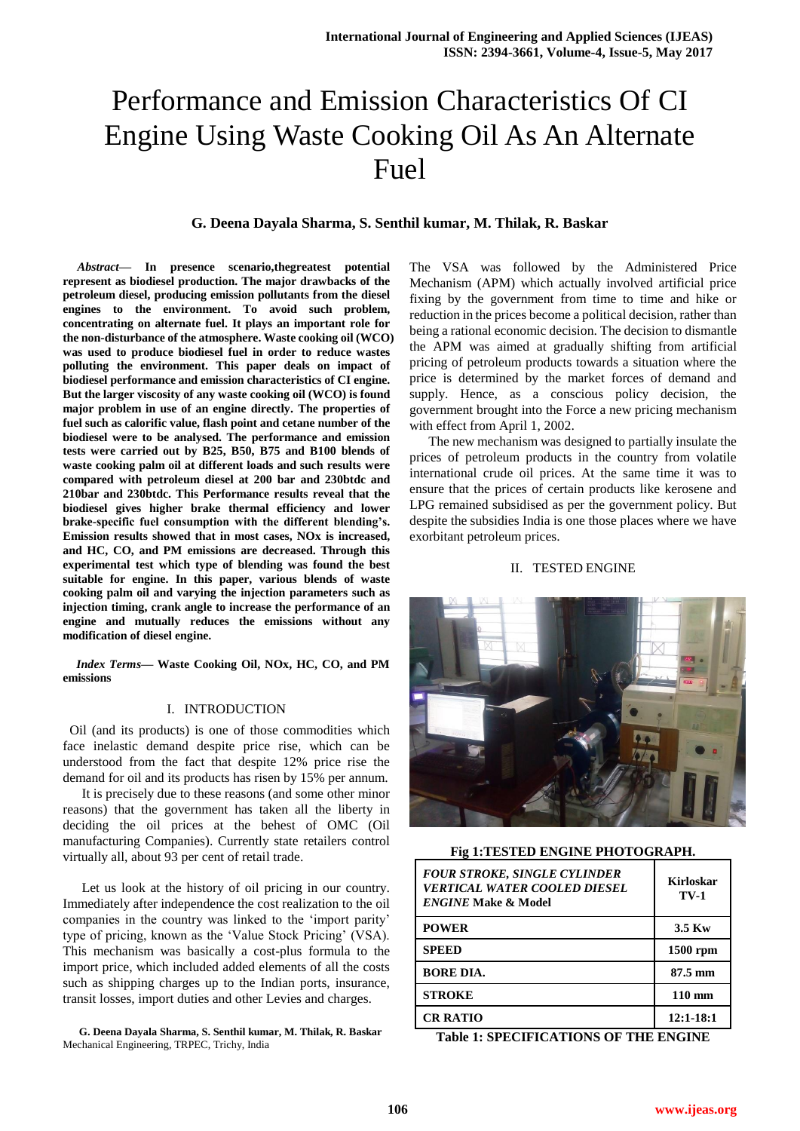# Performance and Emission Characteristics Of CI Engine Using Waste Cooking Oil As An Alternate Fuel

# **G. Deena Dayala Sharma, S. Senthil kumar, M. Thilak, R. Baskar**

*Abstract***— In presence scenario,thegreatest potential represent as biodiesel production. The major drawbacks of the petroleum diesel, producing emission pollutants from the diesel engines to the environment. To avoid such problem, concentrating on alternate fuel. It plays an important role for the non-disturbance of the atmosphere. Waste cooking oil (WCO) was used to produce biodiesel fuel in order to reduce wastes polluting the environment. This paper deals on impact of biodiesel performance and emission characteristics of CI engine. But the larger viscosity of any waste cooking oil (WCO) is found major problem in use of an engine directly. The properties of fuel such as calorific value, flash point and cetane number of the biodiesel were to be analysed. The performance and emission tests were carried out by B25, B50, B75 and B100 blends of waste cooking palm oil at different loads and such results were compared with petroleum diesel at 200 bar and 230btdc and 210bar and 230btdc. This Performance results reveal that the biodiesel gives higher brake thermal efficiency and lower brake-specific fuel consumption with the different blending's. Emission results showed that in most cases, NOx is increased, and HC, CO, and PM emissions are decreased. Through this experimental test which type of blending was found the best suitable for engine. In this paper, various blends of waste cooking palm oil and varying the injection parameters such as injection timing, crank angle to increase the performance of an engine and mutually reduces the emissions without any modification of diesel engine.**

*Index Terms***— Waste Cooking Oil, NOx, HC, CO, and PM emissions**

## I. INTRODUCTION

 Oil (and its products) is one of those commodities which face inelastic demand despite price rise, which can be understood from the fact that despite 12% price rise the demand for oil and its products has risen by 15% per annum.

It is precisely due to these reasons (and some other minor reasons) that the government has taken all the liberty in deciding the oil prices at the behest of OMC (Oil manufacturing Companies). Currently state retailers control virtually all, about 93 per cent of retail trade.

Let us look at the history of oil pricing in our country. Immediately after independence the cost realization to the oil companies in the country was linked to the 'import parity' type of pricing, known as the 'Value Stock Pricing' (VSA). This mechanism was basically a cost-plus formula to the import price, which included added elements of all the costs such as shipping charges up to the Indian ports, insurance, transit losses, import duties and other Levies and charges.

**G. Deena Dayala Sharma, S. Senthil kumar, M. Thilak, R. Baskar** Mechanical Engineering, TRPEC, Trichy, India

The VSA was followed by the Administered Price Mechanism (APM) which actually involved artificial price fixing by the government from time to time and hike or reduction in the prices become a political decision, rather than being a rational economic decision. The decision to dismantle the APM was aimed at gradually shifting from artificial pricing of petroleum products towards a situation where the price is determined by the market forces of demand and supply. Hence, as a conscious policy decision, the government brought into the Force a new pricing mechanism with effect from April 1, 2002.

The new mechanism was designed to partially insulate the prices of petroleum products in the country from volatile international crude oil prices. At the same time it was to ensure that the prices of certain products like kerosene and LPG remained subsidised as per the government policy. But despite the subsidies India is one those places where we have exorbitant petroleum prices.

## II. TESTED ENGINE



#### **Fig 1:TESTED ENGINE PHOTOGRAPH.**

| <b>FOUR STROKE, SINGLE CYLINDER</b><br><b>VERTICAL WATER COOLED DIESEL</b><br><b>ENGINE Make &amp; Model</b> | <b>Kirloskar</b><br><b>TV-1</b> |
|--------------------------------------------------------------------------------------------------------------|---------------------------------|
| <b>POWER</b>                                                                                                 | $3.5$ Kw                        |
| <b>SPEED</b>                                                                                                 | 1500 rpm                        |
| <b>BORE DIA.</b>                                                                                             | 87.5 mm                         |
| <b>STROKE</b>                                                                                                | $110 \text{ mm}$                |
| <b>CR RATIO</b>                                                                                              | $12:1 - 18:1$                   |

**Table 1: SPECIFICATIONS OF THE ENGINE**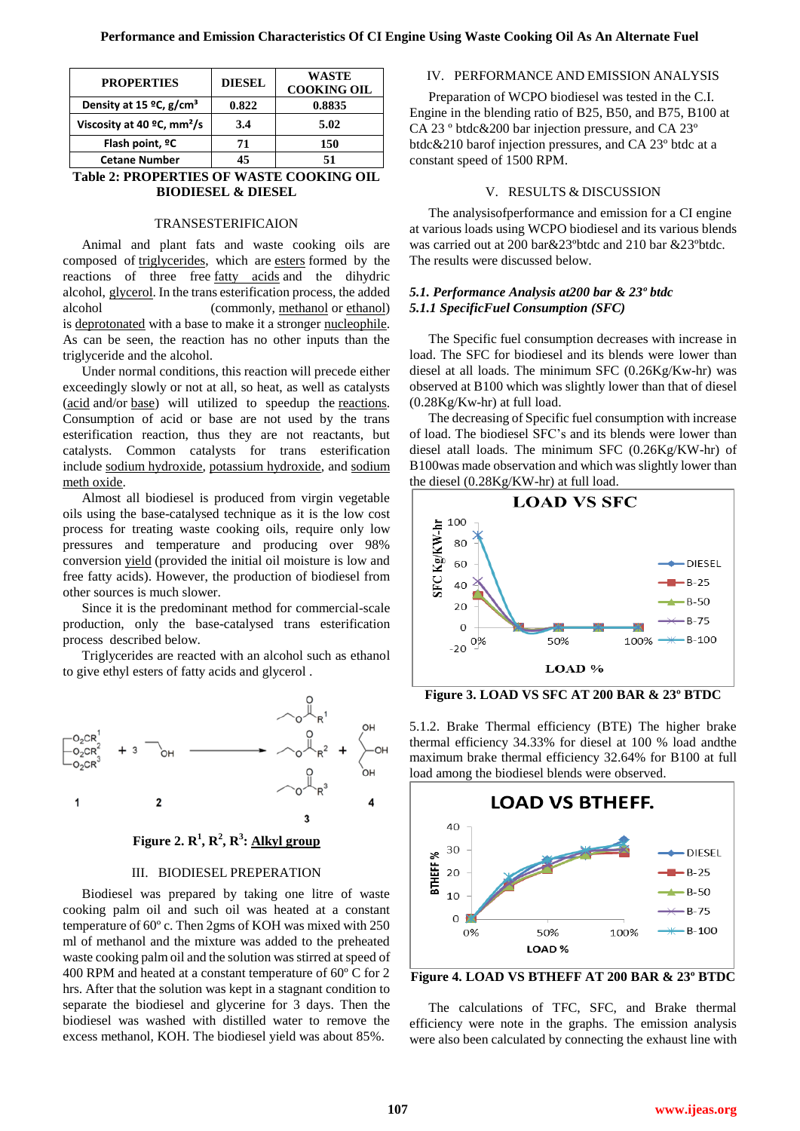| <b>PROPERTIES</b>                      | <b>DIESEL</b> | WASTE<br><b>COOKING OIL</b> |
|----------------------------------------|---------------|-----------------------------|
| Density at 15 °C, g/cm <sup>3</sup>    | 0.822         | 0.8835                      |
| Viscosity at 40 °C, mm <sup>2</sup> /s | 3.4           | 5.02                        |
| Flash point, <sup>o</sup> C            | 71            | 150                         |
| <b>Cetane Number</b>                   | 15            | 51                          |

**Table 2: PROPERTIES OF WASTE COOKING OIL BIODIESEL & DIESEL**

#### TRANSESTERIFICAION

Animal and plant fats and waste cooking oils are composed of [triglycerides,](https://en.wikipedia.org/wiki/Triglyceride) which are [esters](https://en.wikipedia.org/wiki/Ester) formed by the reactions of three free [fatty acids](https://en.wikipedia.org/wiki/Fatty_acid) and the dihydric alcohol, [glycerol.](https://en.wikipedia.org/wiki/Glycerol) In the trans esterification process, the added alcohol (commonly, [methanol](https://en.wikipedia.org/wiki/Methanol) or [ethanol\)](https://en.wikipedia.org/wiki/Ethanol) is [deprotonated](https://en.wikipedia.org/wiki/Deprotonation) with a base to make it a stronger [nucleophile.](https://en.wikipedia.org/wiki/Nucleophile) As can be seen, the reaction has no other inputs than the triglyceride and the alcohol.

Under normal conditions, this reaction will precede either exceedingly slowly or not at all, so heat, as well as catalysts [\(acid](https://en.wikipedia.org/wiki/Acid) and/or [base\)](https://en.wikipedia.org/wiki/Base_(chemistry)) will utilized to speedup the [reactions](https://en.wikipedia.org/wiki/Chemical_reaction). Consumption of acid or base are not used by the trans esterification reaction, thus they are not reactants, but catalysts. Common catalysts for trans esterification include [sodium hydroxide,](https://en.wikipedia.org/wiki/Sodium_hydroxide) [potassium hydroxide,](https://en.wikipedia.org/wiki/Potassium_hydroxide) and [sodium](https://en.wikipedia.org/wiki/Sodium_methoxide)  [meth oxide.](https://en.wikipedia.org/wiki/Sodium_methoxide)

Almost all biodiesel is produced from virgin vegetable oils using the base-catalysed technique as it is the low cost process for treating waste cooking oils, require only low pressures and temperature and producing over 98% conversion [yield](https://en.wikipedia.org/wiki/Yield_(chemistry)) (provided the initial oil moisture is low and free fatty acids). However, the production of biodiesel from other sources is much slower.

Since it is the predominant method for commercial-scale production, only the base-catalysed trans esterification process described below.

Triglycerides are reacted with an alcohol such as ethanol to give ethyl esters of fatty acids and glycerol .



**Figure 2. R 1 , R<sup>2</sup> , R<sup>3</sup> : [Alkyl group](https://en.wikipedia.org/wiki/Alkyl_group)**

# III. BIODIESEL PREPERATION

Biodiesel was prepared by taking one litre of waste cooking palm oil and such oil was heated at a constant temperature of 60º c. Then 2gms of KOH was mixed with 250 ml of methanol and the mixture was added to the preheated waste cooking palm oil and the solution was stirred at speed of 400 RPM and heated at a constant temperature of 60º C for 2 hrs. After that the solution was kept in a stagnant condition to separate the biodiesel and glycerine for 3 days. Then the biodiesel was washed with distilled water to remove the excess methanol, KOH. The biodiesel yield was about 85%.

# IV. PERFORMANCE AND EMISSION ANALYSIS

Preparation of WCPO biodiesel was tested in the C.I. Engine in the blending ratio of B25, B50, and B75, B100 at CA 23 º btdc&200 bar injection pressure, and CA 23º btdc&210 barof injection pressures, and CA 23º btdc at a constant speed of 1500 RPM.

#### V. RESULTS & DISCUSSION

The analysisofperformance and emission for a CI engine at various loads using WCPO biodiesel and its various blends was carried out at 200 bar&23ºbtdc and 210 bar &23ºbtdc. The results were discussed below.

# *5.1. Performance Analysis at200 bar & 23º btdc 5.1.1 SpecificFuel Consumption (SFC)*

The Specific fuel consumption decreases with increase in load. The SFC for biodiesel and its blends were lower than diesel at all loads. The minimum SFC (0.26Kg/Kw-hr) was observed at B100 which was slightly lower than that of diesel (0.28Kg/Kw-hr) at full load.

The decreasing of Specific fuel consumption with increase of load. The biodiesel SFC's and its blends were lower than diesel atall loads. The minimum SFC (0.26Kg/KW-hr) of B100was made observation and which was slightly lower than the diesel (0.28Kg/KW-hr) at full load.



**Figure 3. LOAD VS SFC AT 200 BAR & 23º BTDC**

5.1.2. Brake Thermal efficiency (BTE) The higher brake thermal efficiency 34.33% for diesel at 100 % load andthe maximum brake thermal efficiency 32.64% for B100 at full load among the biodiesel blends were observed.



**Figure 4. LOAD VS BTHEFF AT 200 BAR & 23º BTDC**

The calculations of TFC, SFC, and Brake thermal efficiency were note in the graphs. The emission analysis were also been calculated by connecting the exhaust line with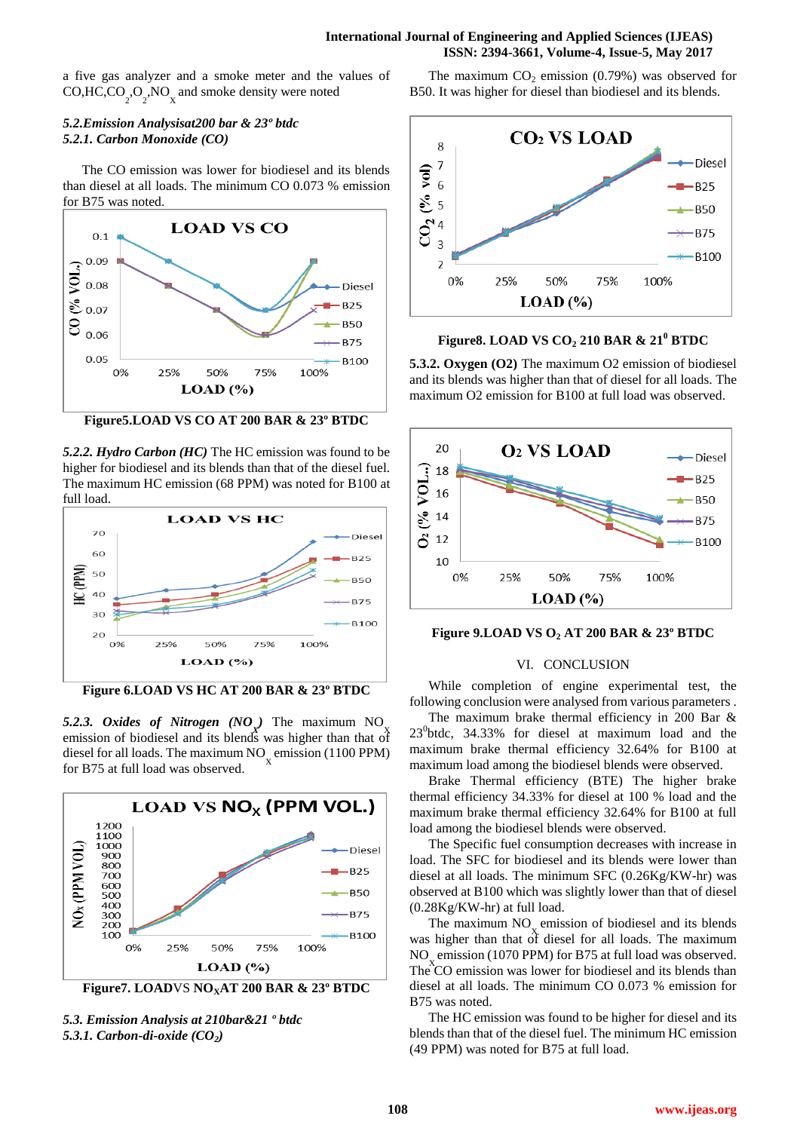## **International Journal of Engineering and Applied Sciences (IJEAS) ISSN: 2394-3661, Volume-4, Issue-5, May 2017**

a five gas analyzer and a smoke meter and the values of CO,HC,CO<sub>2</sub>,O<sub>2</sub>,NO<sub>x</sub> and smoke density were noted

# *5.2.Emission Analysisat200 bar & 23º btdc 5.2.1. Carbon Monoxide (CO)*

The CO emission was lower for biodiesel and its blends than diesel at all loads. The minimum CO 0.073 % emission for B75 was noted.



**Figure5.LOAD VS CO AT 200 BAR & 23º BTDC**

*5.2.2. Hydro Carbon (HC)* The HC emission was found to be higher for biodiesel and its blends than that of the diesel fuel. The maximum HC emission (68 PPM) was noted for B100 at full load.



**Figure 6.LOAD VS HC AT 200 BAR & 23º BTDC**

5.2.3. Oxides of Nitrogen (NO ) The maximum NO emission of biodiesel and its blends was higher than that of diesel for all loads. The maximum  $NO<sub>x</sub>$  emission (1100 PPM) for B75 at full load was observed.



*5.3. Emission Analysis at 210bar&21 º btdc 5.3.1. Carbon-di-oxide (CO2)* 

The maximum  $CO<sub>2</sub>$  emission (0.79%) was observed for B50. It was higher for diesel than biodiesel and its blends.



**Figure8. LOAD VS CO<sup>2</sup> 210 BAR & 21<sup>0</sup> BTDC**

**5.3.2. Oxygen (O2)** The maximum O2 emission of biodiesel and its blends was higher than that of diesel for all loads. The maximum O2 emission for B100 at full load was observed.



**Figure 9.LOAD VS O<sup>2</sup> AT 200 BAR & 23º BTDC**

#### VI. CONCLUSION

While completion of engine experimental test, the following conclusion were analysed from various parameters .

The maximum brake thermal efficiency in 200 Bar & 23<sup>0</sup>btdc, 34.33% for diesel at maximum load and the maximum brake thermal efficiency 32.64% for B100 at maximum load among the biodiesel blends were observed.

Brake Thermal efficiency (BTE) The higher brake thermal efficiency 34.33% for diesel at 100 % load and the maximum brake thermal efficiency 32.64% for B100 at full load among the biodiesel blends were observed.

The Specific fuel consumption decreases with increase in load. The SFC for biodiesel and its blends were lower than diesel at all loads. The minimum SFC (0.26Kg/KW-hr) was observed at B100 which was slightly lower than that of diesel (0.28Kg/KW-hr) at full load.

The maximum NO<sub>v</sub> emission of biodiesel and its blends was higher than that of diesel for all loads. The maximum NO emission (1070 PPM) for B75 at full load was observed. The  $CO$  emission was lower for biodiesel and its blends than diesel at all loads. The minimum CO 0.073 % emission for B75 was noted.

The HC emission was found to be higher for diesel and its blends than that of the diesel fuel. The minimum HC emission (49 PPM) was noted for B75 at full load.